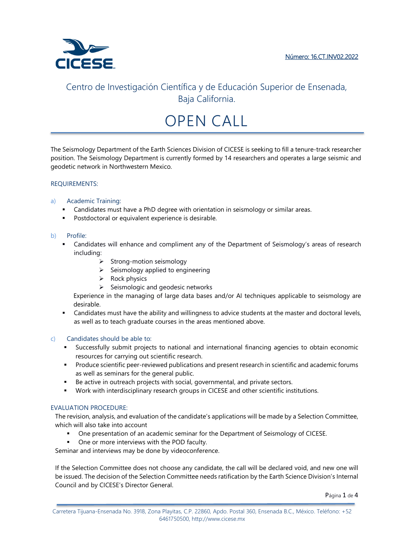

# OPEN CALL

The Seismology Department of the Earth Sciences Division of CICESE is seeking to fill a tenure-track researcher position. The Seismology Department is currently formed by 14 researchers and operates a large seismic and geodetic network in Northwestern Mexico.

# REQUIREMENTS:

# a) Academic Training:

- Candidates must have a PhD degree with orientation in seismology or similar areas.
- **Postdoctoral or equivalent experience is desirable.**

### b) Profile:

- Candidates will enhance and compliment any of the Department of Seismology's areas of research including:
	- $\triangleright$  Strong-motion seismology
	- $\triangleright$  Seismology applied to engineering
	- $\triangleright$  Rock physics
	- $\triangleright$  Seismologic and geodesic networks

Experience in the managing of large data bases and/or AI techniques applicable to seismology are desirable.

 Candidates must have the ability and willingness to advice students at the master and doctoral levels, as well as to teach graduate courses in the areas mentioned above.

## c) Candidates should be able to:

- Successfully submit projects to national and international financing agencies to obtain economic resources for carrying out scientific research.
- **Produce scientific peer-reviewed publications and present research in scientific and academic forums** as well as seminars for the general public.
- Be active in outreach projects with social, governmental, and private sectors.
- Work with interdisciplinary research groups in CICESE and other scientific institutions.

### EVALUATION PROCEDURE:

The revision, analysis, and evaluation of the candidate's applications will be made by a Selection Committee, which will also take into account

- One presentation of an academic seminar for the Department of Seismology of CICESE.
- One or more interviews with the POD faculty.

Seminar and interviews may be done by videoconference.

If the Selection Committee does not choose any candidate, the call will be declared void, and new one will be issued. The decision of the Selection Committee needs ratification by the Earth Science Division's Internal Council and by CICESE's Director General.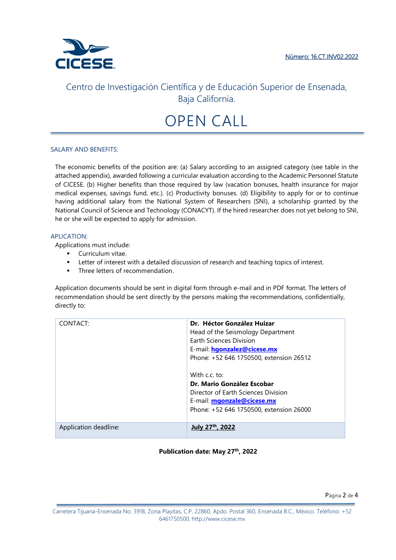

# OPEN CALL

### SALARY AND BENEFITS:

The economic benefits of the position are: (a) Salary according to an assigned category (see table in the attached appendix), awarded following a curricular evaluation according to the Academic Personnel Statute of CICESE. (b) Higher benefits than those required by law (vacation bonuses, health insurance for major medical expenses, savings fund, etc.). (c) Productivity bonuses. (d) Eligibility to apply for or to continue having additional salary from the National System of Researchers (SNI), a scholarship granted by the National Council of Science and Technology (CONACYT). If the hired researcher does not yet belong to SNI, he or she will be expected to apply for admission.

#### APLICATION:

Applications must include:

- **Curriculum vitae.**
- **EXECTER 1** Letter of interest with a detailed discussion of research and teaching topics of interest.
- Three letters of recommendation.

Application documents should be sent in digital form through e-mail and in PDF format. The letters of recommendation should be sent directly by the persons making the recommendations, confidentially, directly to:

| CONTACT:              | Dr. Héctor González Huizar<br>Head of the Seismology Department<br>Earth Sciences Division<br>E-mail: hgonzalez@cicese.mx<br>Phone: +52 646 1750500, extension 26512<br>With c.c. to:<br>Dr. Mario González Escobar<br>Director of Earth Sciences Division<br>E-mail: <b>mgonzale@cicese.mx</b><br>Phone: +52 646 1750500, extension 26000 |
|-----------------------|--------------------------------------------------------------------------------------------------------------------------------------------------------------------------------------------------------------------------------------------------------------------------------------------------------------------------------------------|
| Application deadline: | <sup>th</sup> , 2022                                                                                                                                                                                                                                                                                                                       |

## **Publication date: May 27th, 2022**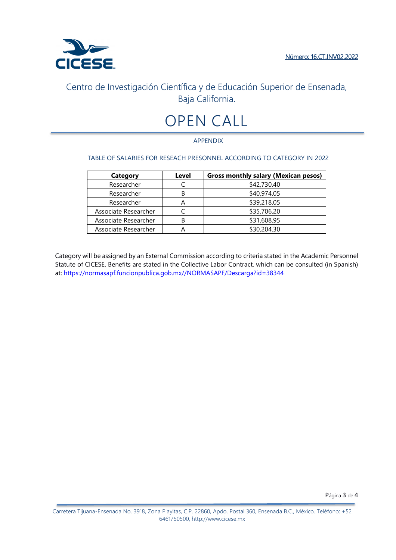

# OPEN CALL

# APPENDIX

# TABLE OF SALARIES FOR RESEACH PRESONNEL ACCORDING TO CATEGORY IN 2022

| <b>Category</b>      | Level | <b>Gross monthly salary (Mexican pesos)</b> |
|----------------------|-------|---------------------------------------------|
| Researcher           |       | \$42,730.40                                 |
| Researcher           | в     | \$40,974.05                                 |
| Researcher           | А     | \$39,218.05                                 |
| Associate Researcher |       | \$35,706.20                                 |
| Associate Researcher | R     | \$31,608.95                                 |
| Associate Researcher |       | \$30,204.30                                 |

Category will be assigned by an External Commission according to criteria stated in the Academic Personnel Statute of CICESE. Benefits are stated in the Collective Labor Contract, which can be consulted (in Spanish) at: https://normasapf.funcionpublica.gob.mx//NORMASAPF/Descarga?id=38344

Página 3 de 4